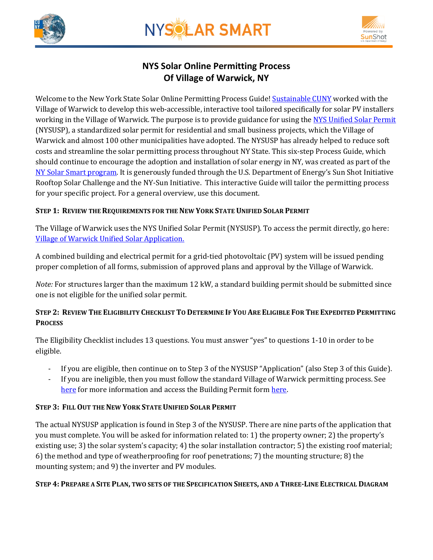



# **NYS Solar Online Permitting Process Of Village of Warwick, NY**

Welcome to the New York State Solar Online Permitting Process Guide! [Sustainable CUNY](http://www.cuny.edu/about/resources/sustainability.html) worked with the Village of Warwick to develop this web-accessible, interactive tool tailored specifically for solar PV installers working in the Village of Warwick. The purpose is to provide guidance for using the [NYS Unified Solar Permit](http://www.villageofwarwick.org/postings/unified_solar_permit.pdf) (NYSUSP), a standardized solar permit for residential and small business projects, which the Village of Warwick and almost 100 other municipalities have adopted. The NYSUSP has already helped to reduce soft costs and streamline the solar permitting process throughout NY State. This six-step Process Guide, which should continue to encourage the adoption and installation of solar energy in NY, was created as part of the NY [Solar Smart program.](http://www.cuny.edu/about/resources/sustainability/nyssolar.html) It is generously funded through the U.S. Department of Energy's Sun Shot Initiative Rooftop Solar Challenge and the NY-Sun Initiative. This interactive Guide will tailor the permitting process for your specific project. For a general overview, use this document.

## **STEP 1: REVIEW THE REQUIREMENTS FOR THE NEW YORK STATE UNIFIED SOLAR PERMIT**

The Village of Warwick uses the NYS Unified Solar Permit (NYSUSP). To access the permit directly, go here: Village of Warwick [Unified Solar Application.](http://www.villageofwarwick.org/postings/unified_solar_permit.pdf)

A combined building and electrical permit for a grid-tied photovoltaic (PV) system will be issued pending proper completion of all forms, submission of approved plans and approval by the Village of Warwick.

*Note:* For structures larger than the maximum 12 kW, a standard building permit should be submitted since one is not eligible for the unified solar permit.

## STEP 2: REVIEW THE ELIGIBILITY CHECKLIST TO DETERMINE IF YOU ARE ELIGIBLE FOR THE EXPEDITED PERMITTING **PROCESS**

The Eligibility Checklist includes 13 questions. You must answer "yes" to questions 1-10 in order to be eligible.

- If you are eligible, then continue on to Step 3 of the NYSUSP "Application" (also Step 3 of this Guide).
- If you are ineligible, then you must follow the standard Village of Warwick permitting process. See [here](http://www.villageofwarwick.org/villagehall/l_vh_buildingdept.shtml) for more information and access the Building Permit form [here.](http://www.villageofwarwick.org/postings/building_permit_app.pdf)

# **STEP 3: FILL OUT THE NEW YORK STATE UNIFIED SOLAR PERMIT**

The actual NYSUSP application is found in Step 3 of the NYSUSP. There are nine parts of the application that you must complete. You will be asked for information related to: 1) the property owner; 2) the property's existing use; 3) the solar system's capacity; 4) the solar installation contractor; 5) the existing roof material; 6) the method and type of weatherproofing for roof penetrations; 7) the mounting structure; 8) the mounting system; and 9) the inverter and PV modules.

### STEP 4: PREPARE A SITE PLAN, TWO SETS OF THE SPECIFICATION SHEETS, AND A THREE-LINE ELECTRICAL DIAGRAM